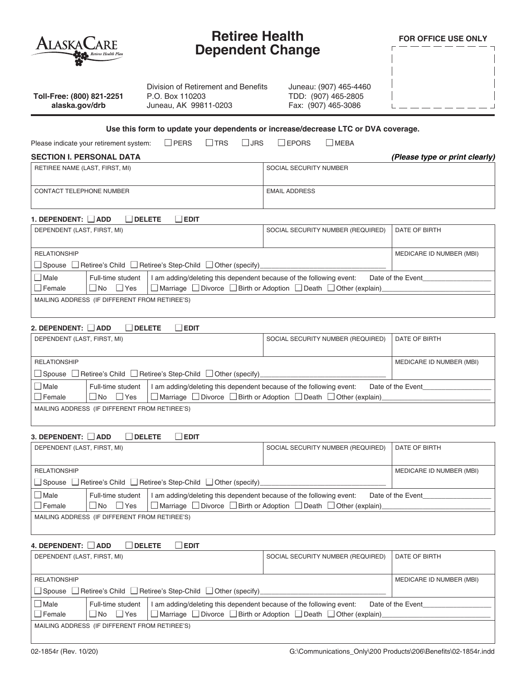| $\sf ALASKACARE$                                                                                                               | <b>Retiree Health</b><br><b>Dependent Change</b>                                                                                                                   |                                |
|--------------------------------------------------------------------------------------------------------------------------------|--------------------------------------------------------------------------------------------------------------------------------------------------------------------|--------------------------------|
| Division of Retirement and Benefits<br>Toll-Free: (800) 821-2251<br>P.O. Box 110203<br>alaska.gov/drb<br>Juneau, AK 99811-0203 | Juneau: (907) 465-4460<br>TDD: (907) 465-2805<br>Fax: (907) 465-3086                                                                                               |                                |
| $\Box$ PERS<br>Please indicate your retirement system:<br>$\Box$ TRS                                                           | Use this form to update your dependents or increase/decrease LTC or DVA coverage.<br>l IJRS<br>I IEPORS<br>  MEBA                                                  |                                |
| <b>SECTION I. PERSONAL DATA</b>                                                                                                |                                                                                                                                                                    | (Please type or print clearly) |
| RETIREE NAME (LAST, FIRST, MI)                                                                                                 | SOCIAL SECURITY NUMBER                                                                                                                                             |                                |
| CONTACT TELEPHONE NUMBER                                                                                                       | <b>EMAIL ADDRESS</b>                                                                                                                                               |                                |
| 1. DEPENDENT:     ADD<br><b>DELETE</b><br>  EDIT                                                                               |                                                                                                                                                                    |                                |
| DEPENDENT (LAST, FIRST, MI)                                                                                                    | SOCIAL SECURITY NUMBER (REQUIRED)                                                                                                                                  | DATE OF BIRTH                  |
| <b>RELATIONSHIP</b><br>□ Spouse □ Retiree's Child □ Retiree's Step-Child □ Other (specify)                                     |                                                                                                                                                                    | MEDICARE ID NUMBER (MBI)       |
| Female<br>  INo<br>∣ I Yes<br>MAILING ADDRESS (IF DIFFERENT FROM RETIREE'S)                                                    | □ Marriage □ Divorce □ Birth or Adoption □ Death □ Other (explain)                                                                                                 |                                |
| 2. DEPENDENT:     ADD<br><b>DELETE</b><br>i iedit<br>DEPENDENT (LAST, FIRST, MI)                                               | SOCIAL SECURITY NUMBER (REQUIRED)                                                                                                                                  | DATE OF BIRTH                  |
| <b>RELATIONSHIP</b><br>□ Spouse □ Retiree's Child □ Retiree's Step-Child □ Other (specify)                                     |                                                                                                                                                                    | MEDICARE ID NUMBER (MBI)       |
| $\Box$ Male<br>Full-time student<br>$\Box$ Female<br>$\Box$ No<br>∣ IYes                                                       | I am adding/deleting this dependent because of the following event:<br>$\Box$ Marriage $\Box$ Divorce $\Box$ Birth or Adoption $\Box$ Death $\Box$ Other (explain) | Date of the Event              |
| MAILING ADDRESS (IF DIFFERENT FROM RETIREE'S)                                                                                  |                                                                                                                                                                    |                                |
| 3. DEPENDENT:   ADD<br><b>DELETE</b><br>$\square$ EDIT                                                                         |                                                                                                                                                                    |                                |
| DEPENDENT (LAST, FIRST, MI)                                                                                                    | SOCIAL SECURITY NUMBER (REQUIRED)                                                                                                                                  | DATE OF BIRTH                  |
| <b>RELATIONSHIP</b><br>$\Box$ Spouse $\Box$ Retiree's Child $\Box$ Retiree's Step-Child $\Box$ Other (specify)                 |                                                                                                                                                                    | MEDICARE ID NUMBER (MBI)       |
| $\Box$ Male<br>Full-time student<br>$\Box$ Yes<br><b>Female</b><br>$\Box$ No                                                   | I am adding/deleting this dependent because of the following event:<br>$\Box$ Marriage $\Box$ Divorce $\Box$ Birth or Adoption $\Box$ Death $\Box$ Other (explain) | Date of the Event              |
| MAILING ADDRESS (IF DIFFERENT FROM RETIREE'S)                                                                                  |                                                                                                                                                                    |                                |
| 4. DEPENDENT: ADD<br>$\Box$ DELETE<br>$\Box$ EDIT                                                                              |                                                                                                                                                                    |                                |

**Retiree Health**

| DEPENDENT (LAST, FIRST, MI)                                         |                    |                                                                                             | SOCIAL SECURITY NUMBER (REQUIRED) | DATE OF BIRTH |  |
|---------------------------------------------------------------------|--------------------|---------------------------------------------------------------------------------------------|-----------------------------------|---------------|--|
|                                                                     |                    |                                                                                             |                                   |               |  |
| <b>RELATIONSHIP</b>                                                 |                    |                                                                                             | MEDICARE ID NUMBER (MBI)          |               |  |
| □ Spouse □ Retiree's Child □ Retiree's Step-Child □ Other (specify) |                    |                                                                                             |                                   |               |  |
| $\square$ Male                                                      | Full-time student  | I am adding/deleting this dependent because of the following event:                         | Date of the Event                 |               |  |
| $\Box$ Female                                                       | $\n  Now\n  Yes\n$ | $\Box$ Marriage $\Box$ Divorce $\Box$ Birth or Adoption $\Box$ Death $\Box$ Other (explain) |                                   |               |  |
| MAILING ADDRESS (IF DIFFERENT FROM RETIREE'S)                       |                    |                                                                                             |                                   |               |  |

 $\overline{\Box}$  $\overline{\phantom{a}}$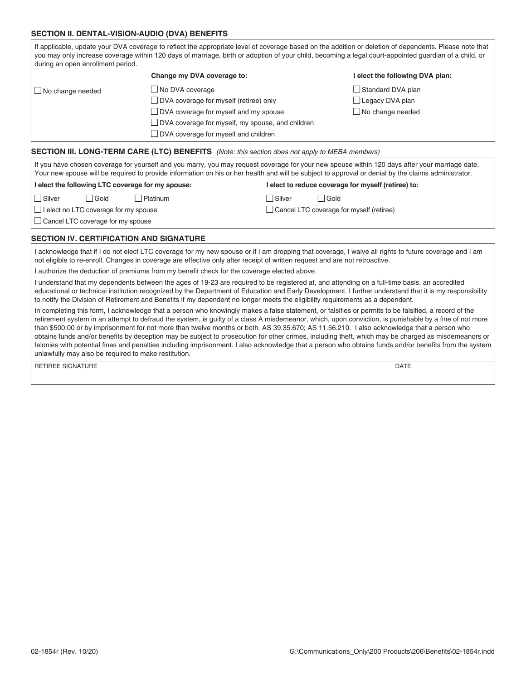#### **SECTION II. DENTAL-VISION-AUDIO (DVA) BENEFITS**

| during an open enrollment period.                 |                                                                                                                                                     |                                                     | If applicable, update your DVA coverage to reflect the appropriate level of coverage based on the addition or deletion of dependents. Please note that<br>you may only increase coverage within 120 days of marriage, birth or adoption of your child, becoming a legal court-appointed guardian of a child, or |
|---------------------------------------------------|-----------------------------------------------------------------------------------------------------------------------------------------------------|-----------------------------------------------------|-----------------------------------------------------------------------------------------------------------------------------------------------------------------------------------------------------------------------------------------------------------------------------------------------------------------|
|                                                   | Change my DVA coverage to:                                                                                                                          |                                                     | elect the following DVA plan:                                                                                                                                                                                                                                                                                   |
| UNo change needed                                 | $\Box$ No DVA coverage                                                                                                                              |                                                     | Standard DVA plan                                                                                                                                                                                                                                                                                               |
|                                                   | $\Box$ DVA coverage for myself (retiree) only                                                                                                       |                                                     | $\Box$ Legacy DVA plan                                                                                                                                                                                                                                                                                          |
|                                                   | $\Box$ DVA coverage for myself and my spouse                                                                                                        |                                                     | $\Box$ No change needed                                                                                                                                                                                                                                                                                         |
|                                                   | $\Box$ DVA coverage for myself, my spouse, and children                                                                                             |                                                     |                                                                                                                                                                                                                                                                                                                 |
|                                                   | $\Box$ DVA coverage for myself and children                                                                                                         |                                                     |                                                                                                                                                                                                                                                                                                                 |
|                                                   | <b>SECTION III. LONG-TERM CARE (LTC) BENEFITS</b> (Note: this section does not apply to MEBA members)                                               |                                                     |                                                                                                                                                                                                                                                                                                                 |
|                                                   | Your new spouse will be required to provide information on his or her health and will be subject to approval or denial by the claims administrator. |                                                     | If you have chosen coverage for yourself and you marry, you may request coverage for your new spouse within 120 days after your marriage date.                                                                                                                                                                  |
| I elect the following LTC coverage for my spouse: |                                                                                                                                                     | I elect to reduce coverage for myself (retiree) to: |                                                                                                                                                                                                                                                                                                                 |

## **I elect the following LTC coverage for my spouse:**

□ Silver □ Gold □ Platinum

Silver Gold □ Cancel LTC coverage for myself (retiree)

 $\Box$  I elect no LTC coverage for my spouse

Cancel LTC coverage for my spouse

### **SECTION IV. CERTIFICATION AND SIGNATURE**

I acknowledge that if I do not elect LTC coverage for my new spouse or if I am dropping that coverage, I waive all rights to future coverage and I am not eligible to re-enroll. Changes in coverage are effective only after receipt of written request and are not retroactive.

I authorize the deduction of premiums from my benefit check for the coverage elected above.

I understand that my dependents between the ages of 19-23 are required to be registered at, and attending on a full-time basis, an accredited educational or technical institution recognized by the Department of Education and Early Development. I further understand that it is my responsibility to notify the Division of Retirement and Benefits if my dependent no longer meets the eligibility requirements as a dependent.

In completing this form, I acknowledge that a person who knowingly makes a false statement, or falsifies or permits to be falsified, a record of the retirement system in an attempt to defraud the system, is guilty of a class A misdemeanor, which, upon conviction, is punishable by a fine of not more than \$500.00 or by imprisonment for not more than twelve months or both. AS 39.35.670; AS 11.56.210. I also acknowledge that a person who obtains funds and/or benefits by deception may be subject to prosecution for other crimes, including theft, which may be charged as misdemeanors or felonies with potential fines and penalties including imprisonment. I also acknowledge that a person who obtains funds and/or benefits from the system unlawfully may also be required to make restitution.

| RETIREE SIGNATURE |  | <b>DATE</b> |
|-------------------|--|-------------|
|-------------------|--|-------------|